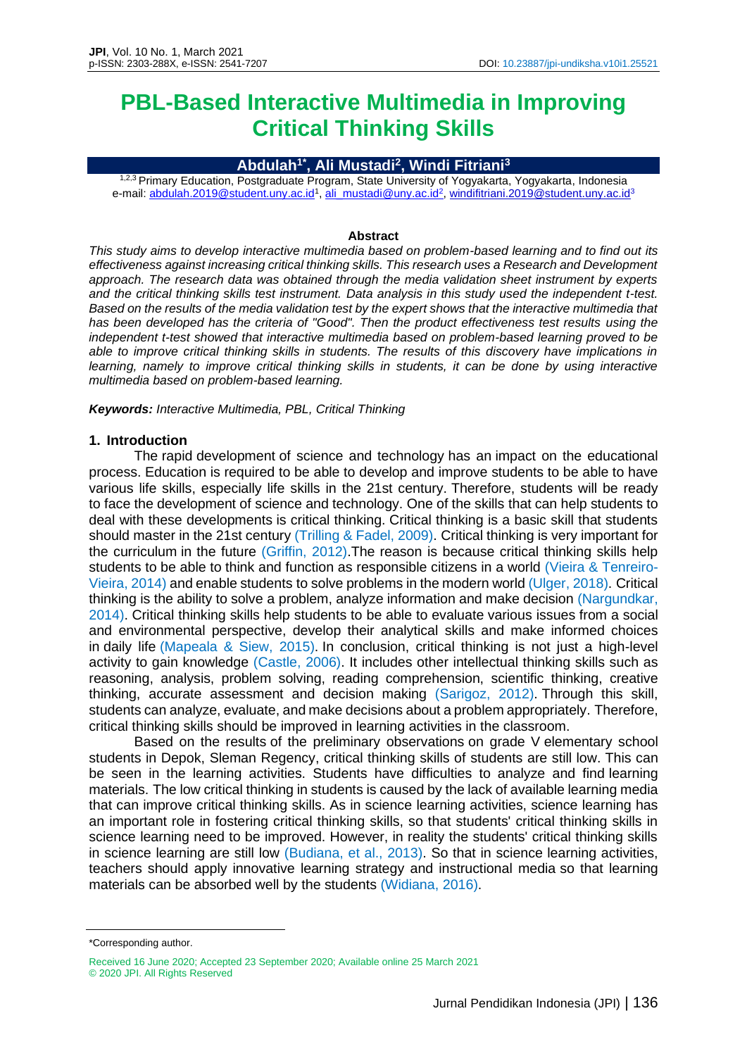# **PBL-Based Interactive Multimedia in Improving Critical Thinking Skills**

### **Abdulah1\* , Ali Mustadi<sup>2</sup> , Windi Fitriani<sup>3</sup>**

1,2,3 Primary Education, Postgraduate Program, State University of Yogyakarta, Yogyakarta, Indonesia e-mail: <u>abdulah.2019@student.uny.ac.id<sup>1</sup>, [ali\\_mustadi@uny.ac.id](mailto:ali_mustadi@uny.ac.id)<sup>2</sup>, [windifitriani.2019@student.uny.ac.id](mailto:windifitriani.2019@student.uny.ac.id)<sup>3</sup></u>

#### **Abstract**

*This study aims to develop interactive multimedia based on problem-based learning and to find out its effectiveness against increasing critical thinking skills. This research uses a Research and Development approach. The research data was obtained through the media validation sheet instrument by experts and the critical thinking skills test instrument. Data analysis in this study used the independent t-test. Based on the results of the media validation test by the expert shows that the interactive multimedia that has been developed has the criteria of "Good". Then the product effectiveness test results using the independent t-test showed that interactive multimedia based on problem-based learning proved to be able to improve critical thinking skills in students. The results of this discovery have implications in learning, namely to improve critical thinking skills in students, it can be done by using interactive multimedia based on problem-based learning.*

*Keywords: Interactive Multimedia, PBL, Critical Thinking*

#### **1. Introduction**

The rapid development of science and technology has an impact on the educational process. Education is required to be able to develop and improve students to be able to have various life skills, especially life skills in the 21st century. Therefore, students will be ready to face the development of science and technology. One of the skills that can help students to deal with these developments is critical thinking. Critical thinking is a basic skill that students should master in the 21st century (Trilling & Fadel, 2009). Critical thinking is very important for the curriculum in the future (Griffin, 2012).The reason is because critical thinking skills help students to be able to think and function as responsible citizens in a world (Vieira & Tenreiro-Vieira, 2014) and enable students to solve problems in the modern world (Ulger, 2018). Critical thinking is the ability to solve a problem, analyze information and make decision (Nargundkar, 2014). Critical thinking skills help students to be able to evaluate various issues from a social and environmental perspective, develop their analytical skills and make informed choices in daily life (Mapeala & Siew, 2015). In conclusion, critical thinking is not just a high-level activity to gain knowledge (Castle, 2006). It includes other intellectual thinking skills such as reasoning, analysis, problem solving, reading comprehension, scientific thinking, creative thinking, accurate assessment and decision making (Sarigoz, 2012). Through this skill, students can analyze, evaluate, and make decisions about a problem appropriately. Therefore, critical thinking skills should be improved in learning activities in the classroom.

Based on the results of the preliminary observations on grade V elementary school students in Depok, Sleman Regency, critical thinking skills of students are still low. This can be seen in the learning activities. Students have difficulties to analyze and find learning materials. The low critical thinking in students is caused by the lack of available learning media that can improve critical thinking skills. As in science learning activities, science learning has an important role in fostering critical thinking skills, so that students' critical thinking skills in science learning need to be improved. However, in reality the students' critical thinking skills in science learning are still low (Budiana, et al., 2013). So that in science learning activities, teachers should apply innovative learning strategy and instructional media so that learning materials can be absorbed well by the students (Widiana, 2016).

<sup>\*</sup>Corresponding author.

Received 16 June 2020; Accepted 23 September 2020; Available online 25 March 2021 © 2020 JPI. All Rights Reserved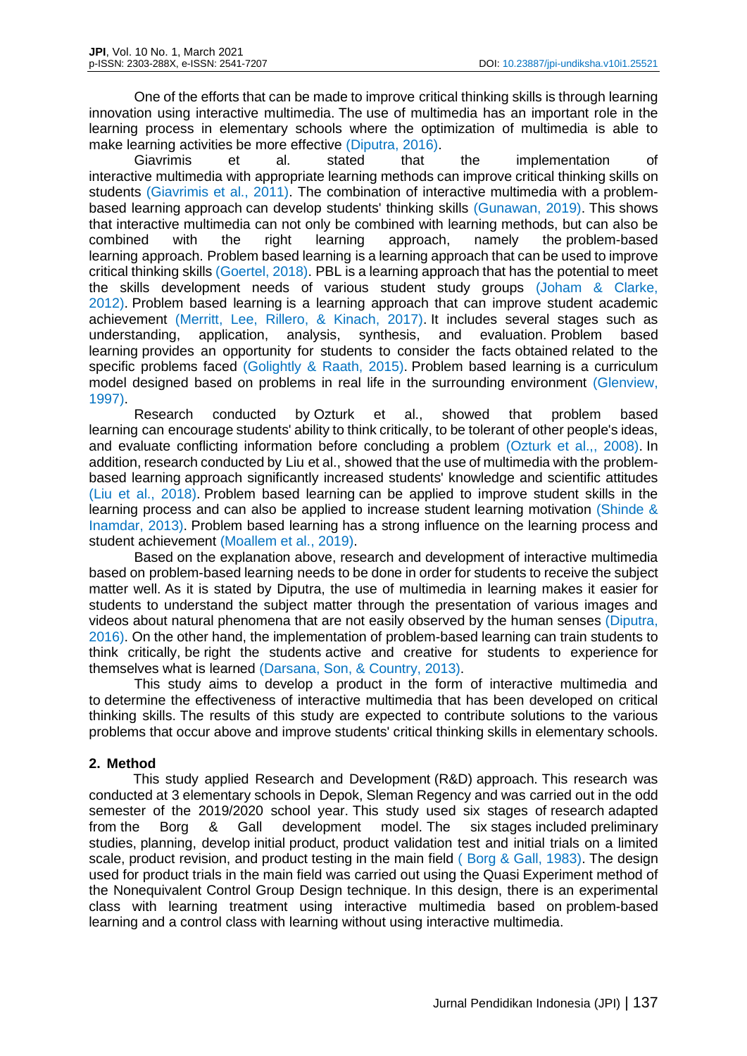One of the efforts that can be made to improve critical thinking skills is through learning innovation using interactive multimedia. The use of multimedia has an important role in the learning process in elementary schools where the optimization of multimedia is able to make learning activities be more effective (Diputra, 2016).

Giavrimis et al. stated that the implementation of interactive multimedia with appropriate learning methods can improve critical thinking skills on students (Giavrimis et al., 2011). The combination of interactive multimedia with a problembased learning approach can develop students' thinking skills (Gunawan, 2019). This shows that interactive multimedia can not only be combined with learning methods, but can also be combined with the right learning approach, namely the problem-based learning approach. Problem based learning is a learning approach that can be used to improve critical thinking skills (Goertel, 2018). PBL is a learning approach that has the potential to meet the skills development needs of various student study groups (Joham & Clarke, 2012). Problem based learning is a learning approach that can improve student academic achievement (Merritt, Lee, Rillero, & Kinach, 2017). It includes several stages such as understanding, application, analysis, synthesis, and evaluation. Problem based learning provides an opportunity for students to consider the facts obtained related to the specific problems faced (Golightly & Raath, 2015). Problem based learning is a curriculum model designed based on problems in real life in the surrounding environment (Glenview, 1997).

Research conducted by Ozturk et al., showed that problem based learning can encourage students' ability to think critically, to be tolerant of other people's ideas, and evaluate conflicting information before concluding a problem (Ozturk et al.,, 2008). In addition, research conducted by Liu et al., showed that the use of multimedia with the problembased learning approach significantly increased students' knowledge and scientific attitudes (Liu et al., 2018). Problem based learning can be applied to improve student skills in the learning process and can also be applied to increase student learning motivation (Shinde & Inamdar, 2013). Problem based learning has a strong influence on the learning process and student achievement (Moallem et al., 2019).

Based on the explanation above, research and development of interactive multimedia based on problem-based learning needs to be done in order for students to receive the subject matter well. As it is stated by Diputra, the use of multimedia in learning makes it easier for students to understand the subject matter through the presentation of various images and videos about natural phenomena that are not easily observed by the human senses (Diputra, 2016). On the other hand, the implementation of problem-based learning can train students to think critically, be right the students active and creative for students to experience for themselves what is learned (Darsana, Son, & Country, 2013).

This study aims to develop a product in the form of interactive multimedia and to determine the effectiveness of interactive multimedia that has been developed on critical thinking skills. The results of this study are expected to contribute solutions to the various problems that occur above and improve students' critical thinking skills in elementary schools.

#### **2. Method**

This study applied Research and Development (R&D) approach. This research was conducted at 3 elementary schools in Depok, Sleman Regency and was carried out in the odd semester of the 2019/2020 school year. This study used six stages of research adapted from the Borg & Gall development model. The six stages included preliminary studies, planning, develop initial product, product validation test and initial trials on a limited scale, product revision, and product testing in the main field ( Borg & Gall, 1983). The design used for product trials in the main field was carried out using the Quasi Experiment method of the Nonequivalent Control Group Design technique. In this design, there is an experimental class with learning treatment using interactive multimedia based on problem-based learning and a control class with learning without using interactive multimedia.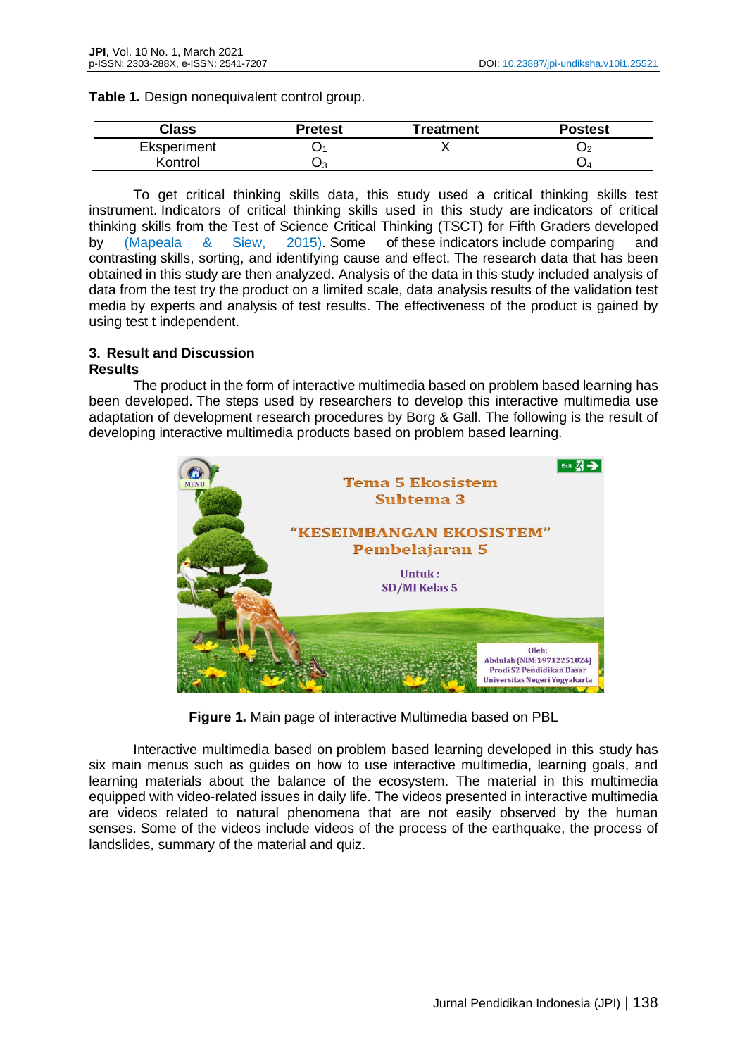|  |  | Table 1. Design nonequivalent control group. |  |
|--|--|----------------------------------------------|--|
|  |  |                                              |  |

| Class       | Pretest | Treatment | <b>Postest</b> |
|-------------|---------|-----------|----------------|
| Eksperiment | ىر      |           |                |
| Kontrol     | Uз      |           |                |

To get critical thinking skills data, this study used a critical thinking skills test instrument. Indicators of critical thinking skills used in this study are indicators of critical thinking skills from the Test of Science Critical Thinking (TSCT) for Fifth Graders developed by (Mapeala  $\&$  Siew, 2015). Some of these indicators include comparing contrasting skills, sorting, and identifying cause and effect. The research data that has been obtained in this study are then analyzed. Analysis of the data in this study included analysis of data from the test try the product on a limited scale, data analysis results of the validation test media by experts and analysis of test results. The effectiveness of the product is gained by using test t independent.

## **3. Result and Discussion**

#### **Results**

The product in the form of interactive multimedia based on problem based learning has been developed. The steps used by researchers to develop this interactive multimedia use adaptation of development research procedures by Borg & Gall. The following is the result of developing interactive multimedia products based on problem based learning.



**Figure 1.** Main page of interactive Multimedia based on PBL

Interactive multimedia based on problem based learning developed in this study has six main menus such as guides on how to use interactive multimedia, learning goals, and learning materials about the balance of the ecosystem. The material in this multimedia equipped with video-related issues in daily life. The videos presented in interactive multimedia are videos related to natural phenomena that are not easily observed by the human senses. Some of the videos include videos of the process of the earthquake, the process of landslides, summary of the material and quiz.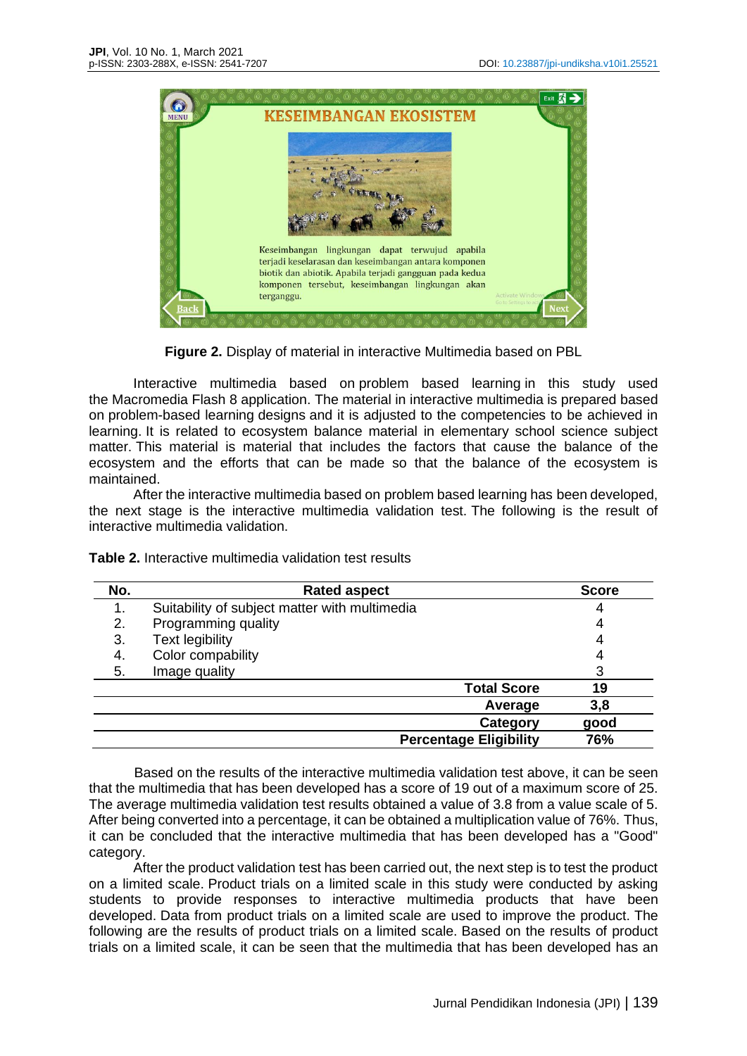

**Figure 2.** Display of material in interactive Multimedia based on PBL

Interactive multimedia based on problem based learning in this study used the Macromedia Flash 8 application. The material in interactive multimedia is prepared based on problem-based learning designs and it is adjusted to the competencies to be achieved in learning. It is related to ecosystem balance material in elementary school science subject matter. This material is material that includes the factors that cause the balance of the ecosystem and the efforts that can be made so that the balance of the ecosystem is maintained.

After the interactive multimedia based on problem based learning has been developed, the next stage is the interactive multimedia validation test. The following is the result of interactive multimedia validation.

| No. | <b>Rated aspect</b>                           | <b>Score</b> |
|-----|-----------------------------------------------|--------------|
|     | Suitability of subject matter with multimedia |              |
| 2.  | Programming quality                           |              |
| 3.  | <b>Text legibility</b>                        |              |
| 4.  | Color compability                             |              |
| 5.  | Image quality                                 |              |
|     | <b>Total Score</b>                            | 19           |
|     | Average                                       | 3,8          |
|     | <b>Category</b>                               | good         |
|     | <b>Percentage Eligibility</b>                 | 76%          |

**Table 2.** Interactive multimedia validation test results

Based on the results of the interactive multimedia validation test above, it can be seen that the multimedia that has been developed has a score of 19 out of a maximum score of 25. The average multimedia validation test results obtained a value of 3.8 from a value scale of 5. After being converted into a percentage, it can be obtained a multiplication value of 76%. Thus, it can be concluded that the interactive multimedia that has been developed has a "Good" category.

After the product validation test has been carried out, the next step is to test the product on a limited scale. Product trials on a limited scale in this study were conducted by asking students to provide responses to interactive multimedia products that have been developed. Data from product trials on a limited scale are used to improve the product. The following are the results of product trials on a limited scale. Based on the results of product trials on a limited scale, it can be seen that the multimedia that has been developed has an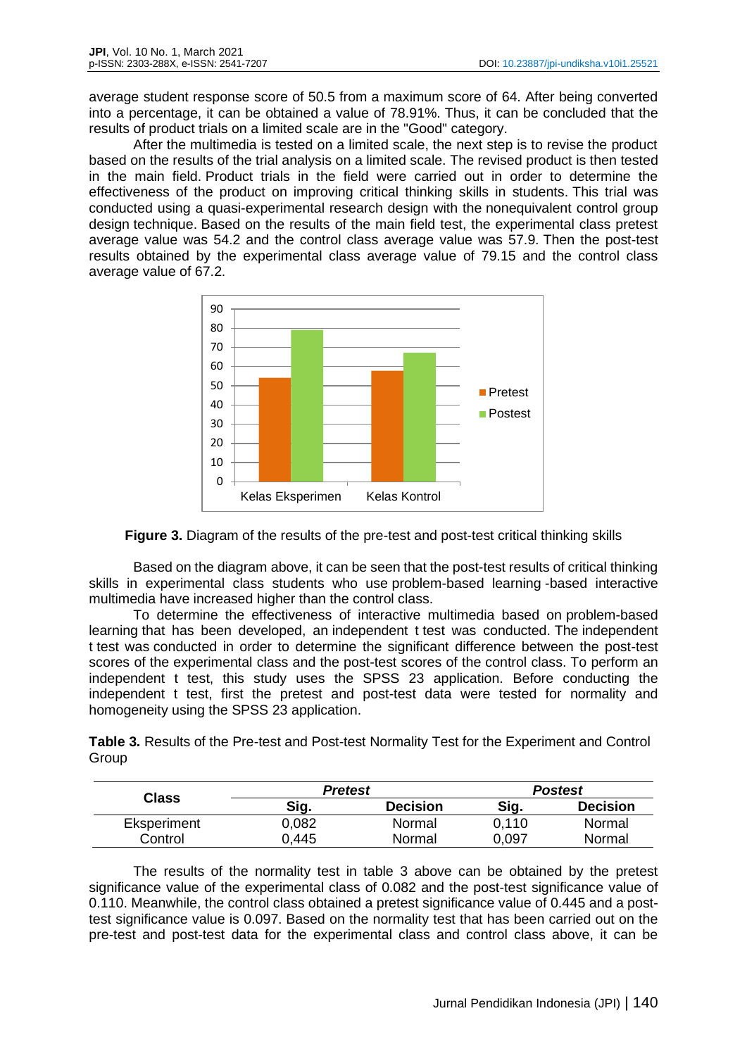average student response score of 50.5 from a maximum score of 64. After being converted into a percentage, it can be obtained a value of 78.91%. Thus, it can be concluded that the results of product trials on a limited scale are in the "Good" category.

After the multimedia is tested on a limited scale, the next step is to revise the product based on the results of the trial analysis on a limited scale. The revised product is then tested in the main field. Product trials in the field were carried out in order to determine the effectiveness of the product on improving critical thinking skills in students. This trial was conducted using a quasi-experimental research design with the nonequivalent control group design technique. Based on the results of the main field test, the experimental class pretest average value was 54.2 and the control class average value was 57.9. Then the post-test results obtained by the experimental class average value of 79.15 and the control class average value of 67.2.





Based on the diagram above, it can be seen that the post-test results of critical thinking skills in experimental class students who use problem-based learning -based interactive multimedia have increased higher than the control class.

To determine the effectiveness of interactive multimedia based on problem-based learning that has been developed, an independent t test was conducted. The independent t test was conducted in order to determine the significant difference between the post-test scores of the experimental class and the post-test scores of the control class. To perform an independent t test, this study uses the SPSS 23 application. Before conducting the independent t test, first the pretest and post-test data were tested for normality and homogeneity using the SPSS 23 application.

**Table 3.** Results of the Pre-test and Post-test Normality Test for the Experiment and Control Group

| Class       | Pretest |                 | <b>Postest</b> |                 |
|-------------|---------|-----------------|----------------|-----------------|
|             | Sig.    | <b>Decision</b> | Sig.           | <b>Decision</b> |
| Eksperiment | 0.082   | Normal          | 0.110          | Normal          |
| Control     | 0.445   | Normal          | 0.097          | Normal          |

The results of the normality test in table 3 above can be obtained by the pretest significance value of the experimental class of 0.082 and the post-test significance value of 0.110. Meanwhile, the control class obtained a pretest significance value of 0.445 and a posttest significance value is 0.097. Based on the normality test that has been carried out on the pre-test and post-test data for the experimental class and control class above, it can be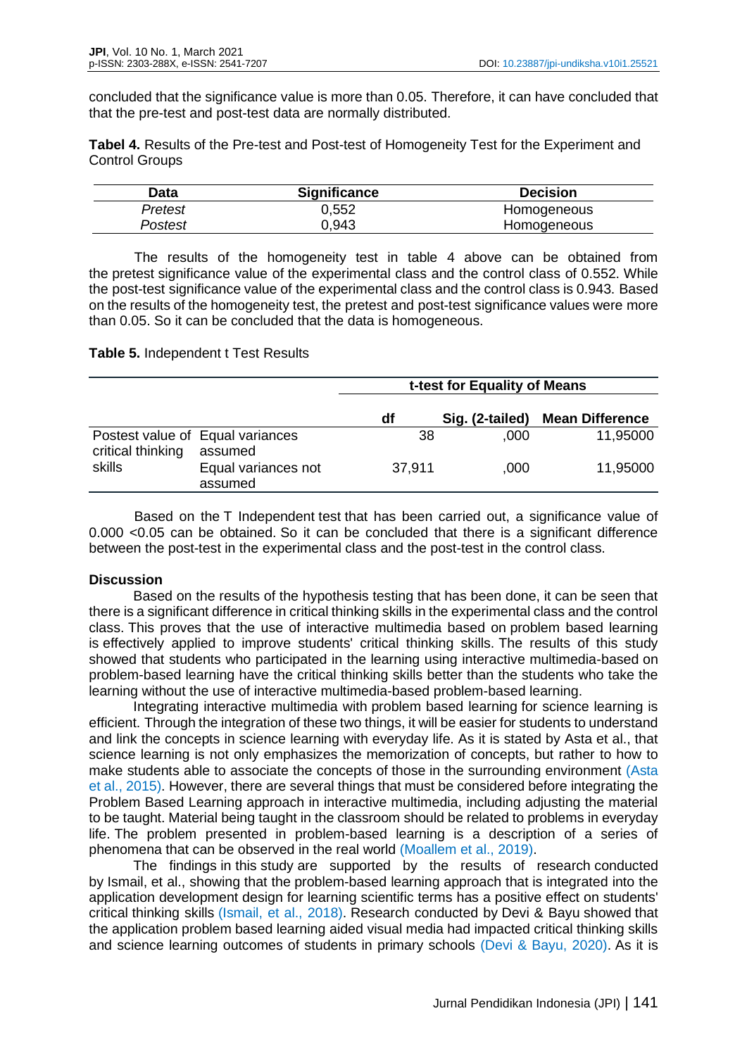concluded that the significance value is more than 0.05. Therefore, it can have concluded that that the pre-test and post-test data are normally distributed.

**Tabel 4.** Results of the Pre-test and Post-test of Homogeneity Test for the Experiment and Control Groups

| Data    | <b>Significance</b> | <b>Decision</b> |
|---------|---------------------|-----------------|
| Pretest | 0.552               | Homogeneous     |
| Postest | ა.943               | Homogeneous     |

The results of the homogeneity test in table 4 above can be obtained from the pretest significance value of the experimental class and the control class of 0.552. While the post-test significance value of the experimental class and the control class is 0.943. Based on the results of the homogeneity test, the pretest and post-test significance values were more than 0.05. So it can be concluded that the data is homogeneous.

### **Table 5.** Independent t Test Results

|                   |                                             |        | t-test for Equality of Means |                        |  |
|-------------------|---------------------------------------------|--------|------------------------------|------------------------|--|
|                   |                                             | df     | Sig. (2-tailed)              | <b>Mean Difference</b> |  |
| critical thinking | Postest value of Equal variances<br>assumed | 38     | .000                         | 11,95000               |  |
| skills            | Equal variances not<br>assumed              | 37,911 | .000                         | 11,95000               |  |

Based on the T Independent test that has been carried out, a significance value of 0.000 <0.05 can be obtained. So it can be concluded that there is a significant difference between the post-test in the experimental class and the post-test in the control class.

## **Discussion**

Based on the results of the hypothesis testing that has been done, it can be seen that there is a significant difference in critical thinking skills in the experimental class and the control class. This proves that the use of interactive multimedia based on problem based learning is effectively applied to improve students' critical thinking skills. The results of this study showed that students who participated in the learning using interactive multimedia-based on problem-based learning have the critical thinking skills better than the students who take the learning without the use of interactive multimedia-based problem-based learning.

Integrating interactive multimedia with problem based learning for science learning is efficient. Through the integration of these two things, it will be easier for students to understand and link the concepts in science learning with everyday life. As it is stated by Asta et al., that science learning is not only emphasizes the memorization of concepts, but rather to how to make students able to associate the concepts of those in the surrounding environment (Asta et al., 2015). However, there are several things that must be considered before integrating the Problem Based Learning approach in interactive multimedia, including adjusting the material to be taught. Material being taught in the classroom should be related to problems in everyday life. The problem presented in problem-based learning is a description of a series of phenomena that can be observed in the real world (Moallem et al., 2019).

The findings in this study are supported by the results of research conducted by Ismail, et al., showing that the problem-based learning approach that is integrated into the application development design for learning scientific terms has a positive effect on students' critical thinking skills (Ismail, et al., 2018). Research conducted by Devi & Bayu showed that the application problem based learning aided visual media had impacted critical thinking skills and science learning outcomes of students in primary schools (Devi & Bayu, 2020). As it is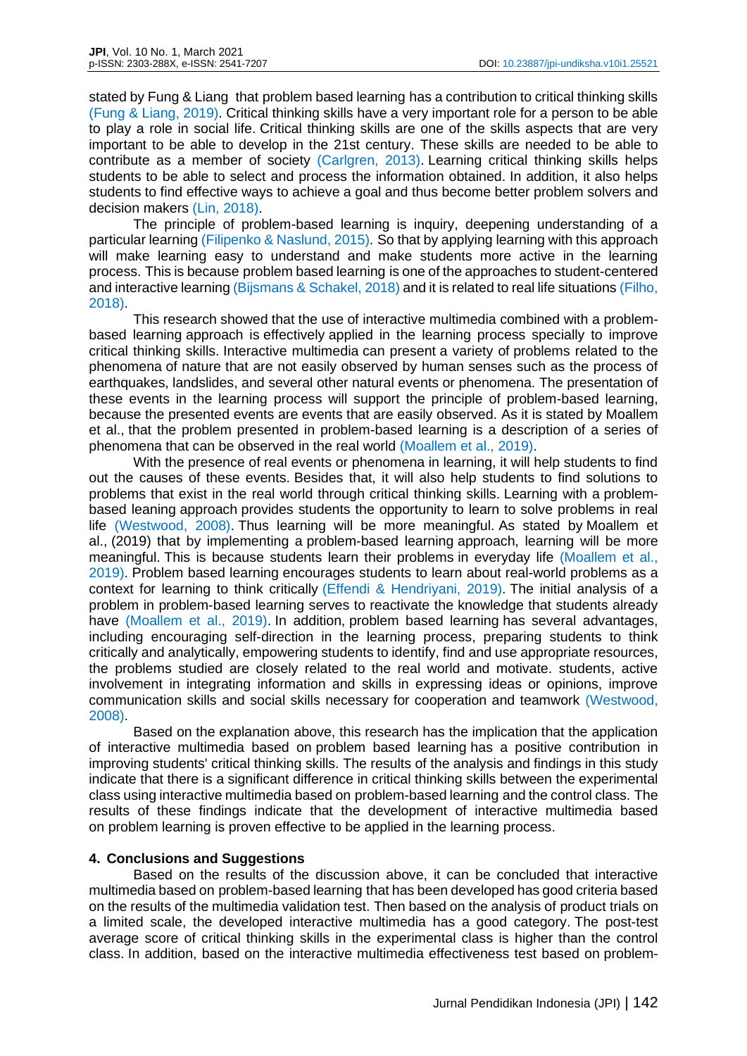stated by Fung & Liang that problem based learning has a contribution to critical thinking skills (Fung & Liang, 2019). Critical thinking skills have a very important role for a person to be able to play a role in social life. Critical thinking skills are one of the skills aspects that are very important to be able to develop in the 21st century. These skills are needed to be able to contribute as a member of society (Carlgren, 2013). Learning critical thinking skills helps students to be able to select and process the information obtained. In addition, it also helps students to find effective ways to achieve a goal and thus become better problem solvers and decision makers (Lin, 2018).

The principle of problem-based learning is inquiry, deepening understanding of a particular learning (Filipenko & Naslund, 2015). So that by applying learning with this approach will make learning easy to understand and make students more active in the learning process. This is because problem based learning is one of the approaches to student-centered and interactive learning (Bijsmans & Schakel, 2018) and it is related to real life situations (Filho, 2018).

This research showed that the use of interactive multimedia combined with a problembased learning approach is effectively applied in the learning process specially to improve critical thinking skills. Interactive multimedia can present a variety of problems related to the phenomena of nature that are not easily observed by human senses such as the process of earthquakes, landslides, and several other natural events or phenomena. The presentation of these events in the learning process will support the principle of problem-based learning, because the presented events are events that are easily observed. As it is stated by Moallem et al., that the problem presented in problem-based learning is a description of a series of phenomena that can be observed in the real world (Moallem et al., 2019).

With the presence of real events or phenomena in learning, it will help students to find out the causes of these events. Besides that, it will also help students to find solutions to problems that exist in the real world through critical thinking skills. Learning with a problembased leaning approach provides students the opportunity to learn to solve problems in real life (Westwood, 2008). Thus learning will be more meaningful. As stated by Moallem et al., (2019) that by implementing a problem-based learning approach, learning will be more meaningful. This is because students learn their problems in everyday life (Moallem et al., 2019). Problem based learning encourages students to learn about real-world problems as a context for learning to think critically (Effendi & Hendriyani, 2019). The initial analysis of a problem in problem-based learning serves to reactivate the knowledge that students already have (Moallem et al., 2019). In addition, problem based learning has several advantages, including encouraging self-direction in the learning process, preparing students to think critically and analytically, empowering students to identify, find and use appropriate resources, the problems studied are closely related to the real world and motivate. students, active involvement in integrating information and skills in expressing ideas or opinions, improve communication skills and social skills necessary for cooperation and teamwork (Westwood, 2008).

Based on the explanation above, this research has the implication that the application of interactive multimedia based on problem based learning has a positive contribution in improving students' critical thinking skills. The results of the analysis and findings in this study indicate that there is a significant difference in critical thinking skills between the experimental class using interactive multimedia based on problem-based learning and the control class. The results of these findings indicate that the development of interactive multimedia based on problem learning is proven effective to be applied in the learning process.

#### **4. Conclusions and Suggestions**

Based on the results of the discussion above, it can be concluded that interactive multimedia based on problem-based learning that has been developed has good criteria based on the results of the multimedia validation test. Then based on the analysis of product trials on a limited scale, the developed interactive multimedia has a good category. The post-test average score of critical thinking skills in the experimental class is higher than the control class. In addition, based on the interactive multimedia effectiveness test based on problem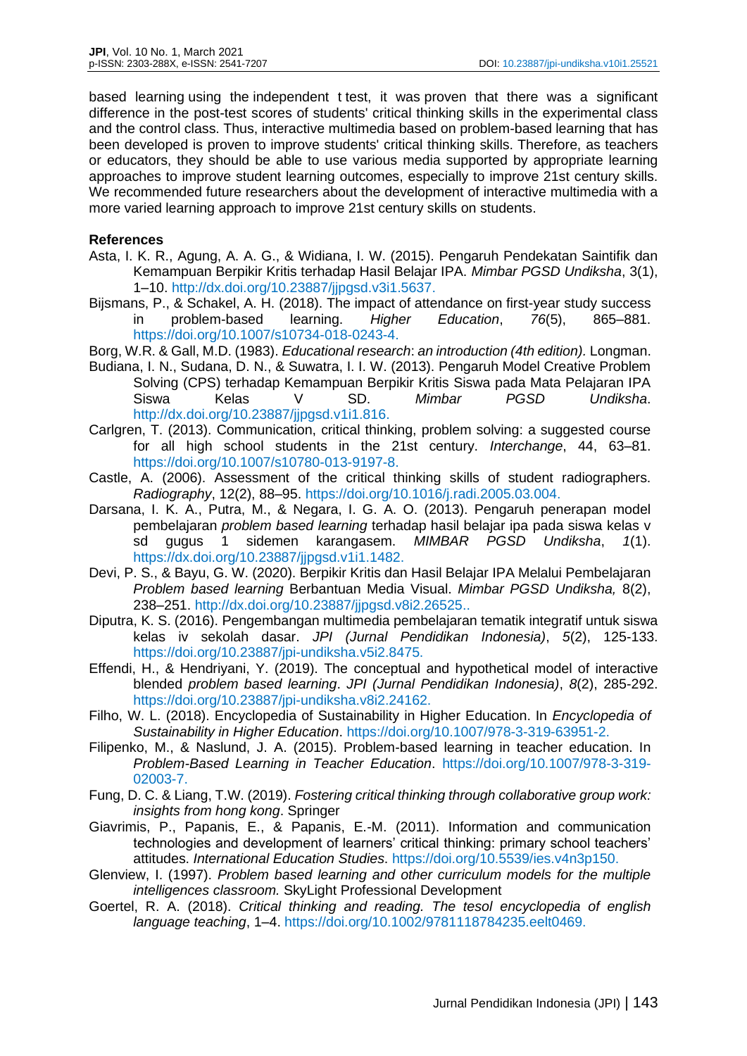based learning using the independent t test, it was proven that there was a significant difference in the post-test scores of students' critical thinking skills in the experimental class and the control class. Thus, interactive multimedia based on problem-based learning that has been developed is proven to improve students' critical thinking skills. Therefore, as teachers or educators, they should be able to use various media supported by appropriate learning approaches to improve student learning outcomes, especially to improve 21st century skills. We recommended future researchers about the development of interactive multimedia with a more varied learning approach to improve 21st century skills on students.

### **References**

- Asta, I. K. R., Agung, A. A. G., & Widiana, I. W. (2015). Pengaruh Pendekatan Saintifik dan Kemampuan Berpikir Kritis terhadap Hasil Belajar IPA. *Mimbar PGSD Undiksha*, 3(1), 1–10. http://dx.doi.org/10.23887/jjpgsd.v3i1.5637.
- Bijsmans, P., & Schakel, A. H. (2018). The impact of attendance on first-year study success in problem-based learning. *Higher Education*, *76*(5), 865–881. https://doi.org/10.1007/s10734-018-0243-4.
- Borg, W.R. & Gall, M.D. (1983). *Educational research*: *an introduction (4th edition).* Longman.
- Budiana, I. N., Sudana, D. N., & Suwatra, I. I. W. (2013). Pengaruh Model Creative Problem Solving (CPS) terhadap Kemampuan Berpikir Kritis Siswa pada Mata Pelajaran IPA Siswa Kelas V SD. *Mimbar PGSD Undiksha*. http://dx.doi.org/10.23887/jjpgsd.v1i1.816.
- Carlgren, T. (2013). Communication, critical thinking, problem solving: a suggested course for all high school students in the 21st century. *Interchange*, 44, 63–81. https://doi.org/10.1007/s10780-013-9197-8.
- Castle, A. (2006). Assessment of the critical thinking skills of student radiographers. *Radiography*, 12(2), 88–95. https://doi.org/10.1016/j.radi.2005.03.004.
- Darsana, I. K. A., Putra, M., & Negara, I. G. A. O. (2013). Pengaruh penerapan model pembelajaran *problem based learning* terhadap hasil belajar ipa pada siswa kelas v sd gugus 1 sidemen karangasem. *MIMBAR PGSD Undiksha*, *1*(1). https://dx.doi.org/10.23887/jjpgsd.v1i1.1482.
- Devi, P. S., & Bayu, G. W. (2020). Berpikir Kritis dan Hasil Belajar IPA Melalui Pembelajaran *Problem based learning* Berbantuan Media Visual. *Mimbar PGSD Undiksha,* 8(2), 238–251. http://dx.doi.org/10.23887/jjpgsd.v8i2.26525..
- Diputra, K. S. (2016). Pengembangan multimedia pembelajaran tematik integratif untuk siswa kelas iv sekolah dasar. *JPI (Jurnal Pendidikan Indonesia)*, *5*(2), 125-133. https://doi.org/10.23887/jpi-undiksha.v5i2.8475.
- Effendi, H., & Hendriyani, Y. (2019). The conceptual and hypothetical model of interactive blended *problem based learning*. *JPI (Jurnal Pendidikan Indonesia)*, *8*(2), 285-292. https://doi.org/10.23887/jpi-undiksha.v8i2.24162.
- Filho, W. L. (2018). Encyclopedia of Sustainability in Higher Education. In *Encyclopedia of Sustainability in Higher Education*. https://doi.org/10.1007/978-3-319-63951-2.
- Filipenko, M., & Naslund, J. A. (2015). Problem-based learning in teacher education. In *Problem-Based Learning in Teacher Education*. https://doi.org/10.1007/978-3-319- 02003-7.
- Fung, D. C. & Liang, T.W. (2019). *Fostering critical thinking through collaborative group work: insights from hong kong*. Springer
- Giavrimis, P., Papanis, E., & Papanis, E.-M. (2011). Information and communication technologies and development of learners' critical thinking: primary school teachers' attitudes. *International Education Studies*. https://doi.org/10.5539/ies.v4n3p150.
- Glenview, I. (1997). *Problem based learning and other curriculum models for the multiple intelligences classroom.* SkyLight Professional Development
- Goertel, R. A. (2018). *Critical thinking and reading. The tesol encyclopedia of english language teaching*, 1–4. https://doi.org/10.1002/9781118784235.eelt0469.